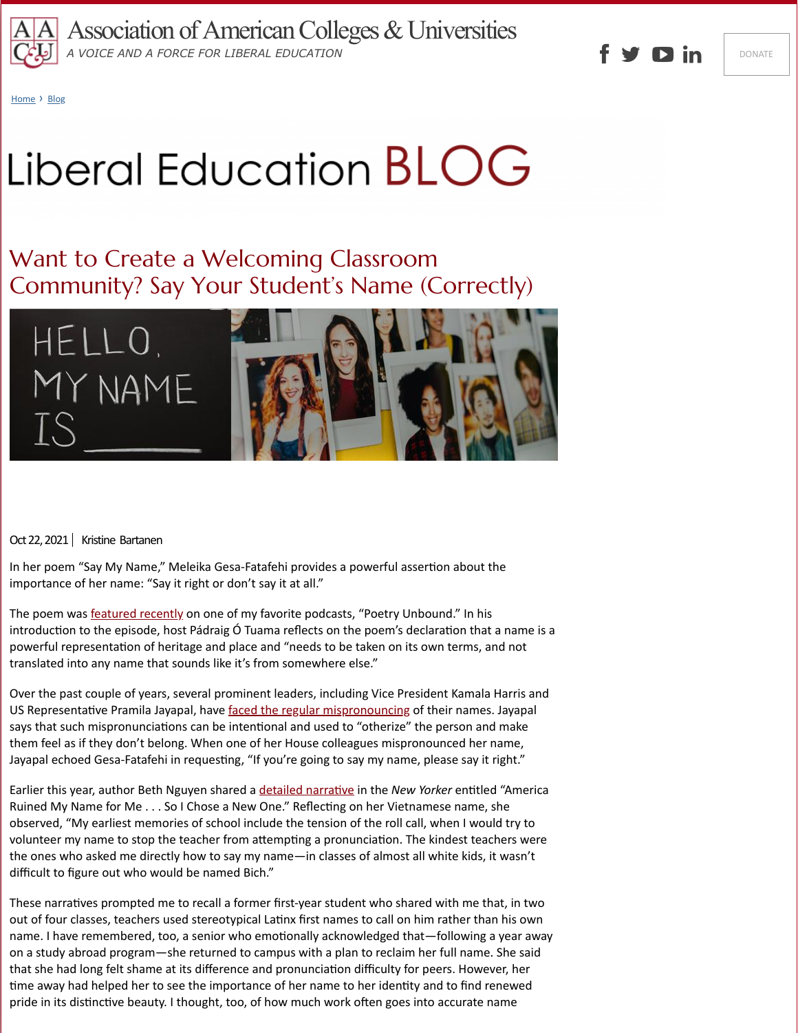

[Home](https://www.aacu.org/) > [Blog](https://www.aacu.org/blog)

## Liberal Education BLOG

## Want to Create a Welcoming Classroom Community? Say Your Student's Name (Correctly)



Oct 22, 2021 | Kristine Bartanen

In her poem "Say My Name," Meleika Gesa-Fatafehi provides a powerful assertion about the importance of her name: "Say it right or don't say it at all."

The poem was **featured recently** on one of my favorite podcasts, "Poetry Unbound." In his introduction to the episode, host Pádraig Ó Tuama reflects on the poem's declaration that a name is a powerful representation of heritage and place and "needs to be taken on its own terms, and not translated into any name that sounds like it's from somewhere else."

Over the past couple of years, several prominent leaders, including Vice President Kamala Harris and US Representative Pramila Jayapal, have [faced the regular mispronouncing](https://www.washingtonpost.com/politics/mispronouncing-kamala-accident-or-message/2020/10/23/5927f120-13b3-11eb-ad6f-36c93e6e94fb_story.html) of their names. Jayapal says that such mispronunciations can be intentional and used to "otherize" the person and make them feel as if they don't belong. When one of her House colleagues mispronounced her name, Jayapal echoed Gesa-Fatafehi in requesting, "If you're going to say my name, please say it right."

Earlier this year, author Beth Nguyen shared a [detailed narrative](https://www.newyorker.com/culture/personal-history/america-ruined-my-name-for-me) in the *New Yorker* entitled "America Ruined My Name for Me . . . So I Chose a New One." Reflecting on her Vietnamese name, she observed, "My earliest memories of school include the tension of the roll call, when I would try to volunteer my name to stop the teacher from attempting a pronunciation. The kindest teachers were the ones who asked me directly how to say my name—in classes of almost all white kids, it wasn't difficult to figure out who would be named Bich."

These narratives prompted me to recall a former first-year student who shared with me that, in two out of four classes, teachers used stereotypical Latinx first names to call on him rather than his own name. I have remembered, too, a senior who emotionally acknowledged that—following a year away on a study abroad program—she returned to campus with a plan to reclaim her full name. She said that she had long felt shame at its difference and pronunciation difficulty for peers. However, her time away had helped her to see the importance of her name to her identity and to find renewed pride in its distinctive beauty. I thought, too, of how much work often goes into accurate name